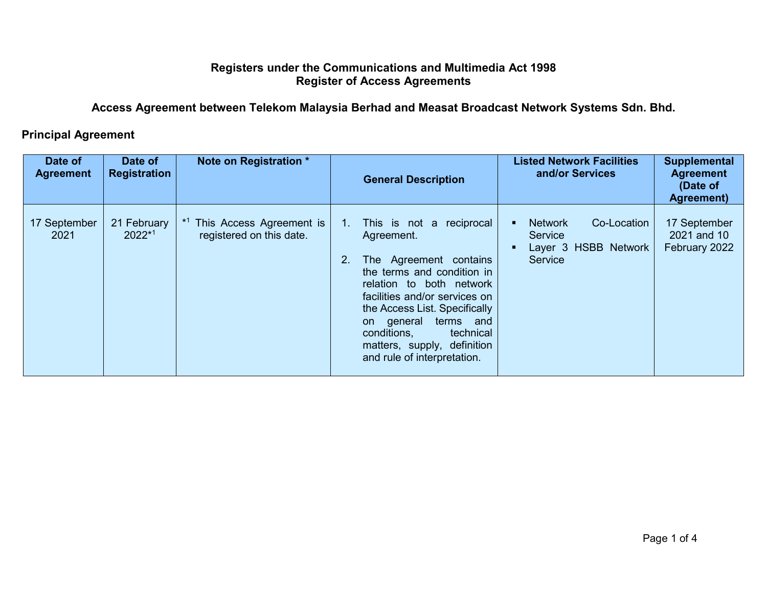## **Registers under the Communications and Multimedia Act 1998 Register of Access Agreements**

**Access Agreement between Telekom Malaysia Berhad and Measat Broadcast Network Systems Sdn. Bhd.**

## **Principal Agreement**

| Date of<br><b>Agreement</b> | Date of<br><b>Registration</b> | Note on Registration *                               | <b>Listed Network Facilities</b><br>and/or Services<br><b>General Description</b>                                                                                                                                                                                                                                                                                                                                        | <b>Supplemental</b><br><b>Agreement</b><br>(Date of<br>Agreement) |
|-----------------------------|--------------------------------|------------------------------------------------------|--------------------------------------------------------------------------------------------------------------------------------------------------------------------------------------------------------------------------------------------------------------------------------------------------------------------------------------------------------------------------------------------------------------------------|-------------------------------------------------------------------|
| 17 September<br>2021        | 21 February<br>$2022*1$        | This Access Agreement is<br>registered on this date. | Co-Location<br><b>Network</b><br>This is not a reciprocal<br>$1_{\cdot}$<br>Service<br>Agreement.<br>Layer 3 HSBB Network<br>Service<br>2.<br>The Agreement contains<br>the terms and condition in<br>relation to both network<br>facilities and/or services on<br>the Access List. Specifically<br>terms and<br>general<br>on<br>technical<br>conditions,<br>matters, supply, definition<br>and rule of interpretation. | 17 September<br>2021 and 10<br>February 2022                      |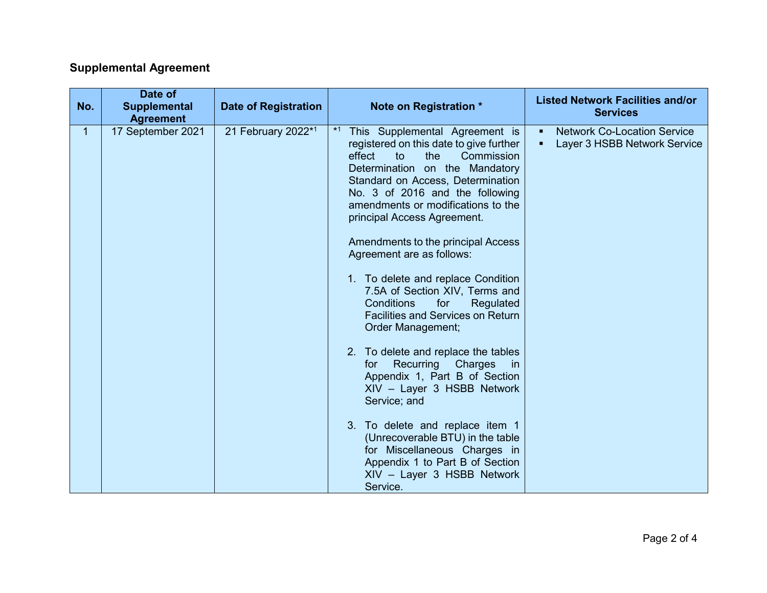## **Supplemental Agreement**

| No. | Date of<br><b>Supplemental</b><br><b>Agreement</b> | <b>Date of Registration</b> | Note on Registration *                                                                                                                                                                                                                                                                                                                                                                                                                                                                                                                                                                                                                                                                                                                                                                                                                                                                                    | <b>Listed Network Facilities and/or</b><br><b>Services</b>              |
|-----|----------------------------------------------------|-----------------------------|-----------------------------------------------------------------------------------------------------------------------------------------------------------------------------------------------------------------------------------------------------------------------------------------------------------------------------------------------------------------------------------------------------------------------------------------------------------------------------------------------------------------------------------------------------------------------------------------------------------------------------------------------------------------------------------------------------------------------------------------------------------------------------------------------------------------------------------------------------------------------------------------------------------|-------------------------------------------------------------------------|
| 1.  | 17 September 2021                                  | 21 February 2022*1          | $*1$<br>This Supplemental Agreement is<br>registered on this date to give further<br>effect<br>Commission<br>to<br>the<br>Determination on the Mandatory<br>Standard on Access, Determination<br>No. 3 of 2016 and the following<br>amendments or modifications to the<br>principal Access Agreement.<br>Amendments to the principal Access<br>Agreement are as follows:<br>1. To delete and replace Condition<br>7.5A of Section XIV, Terms and<br><b>Conditions</b><br>for<br>Regulated<br><b>Facilities and Services on Return</b><br>Order Management;<br>2. To delete and replace the tables<br>Recurring Charges<br>for<br>in in<br>Appendix 1, Part B of Section<br>XIV - Layer 3 HSBB Network<br>Service; and<br>3. To delete and replace item 1<br>(Unrecoverable BTU) in the table<br>for Miscellaneous Charges in<br>Appendix 1 to Part B of Section<br>XIV - Layer 3 HSBB Network<br>Service. | <b>Network Co-Location Service</b><br>٠<br>Layer 3 HSBB Network Service |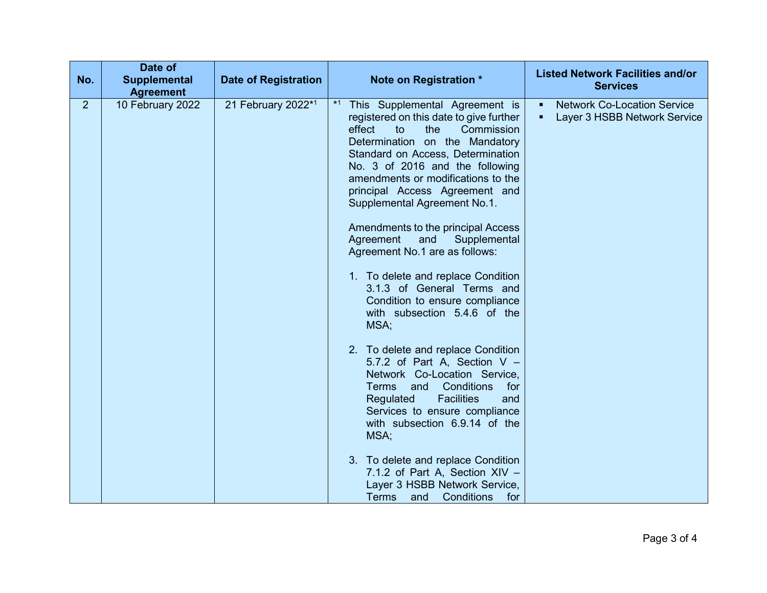| No.            | Date of<br>Supplemental<br><b>Agreement</b> | <b>Date of Registration</b> | Note on Registration *                                                                                                                                                                                                                                                                                                                                                                                                                                                                                                                                                                                                                                                                                                                                                                                                                                               | <b>Listed Network Facilities and/or</b><br><b>Services</b>                           |
|----------------|---------------------------------------------|-----------------------------|----------------------------------------------------------------------------------------------------------------------------------------------------------------------------------------------------------------------------------------------------------------------------------------------------------------------------------------------------------------------------------------------------------------------------------------------------------------------------------------------------------------------------------------------------------------------------------------------------------------------------------------------------------------------------------------------------------------------------------------------------------------------------------------------------------------------------------------------------------------------|--------------------------------------------------------------------------------------|
| 2 <sup>1</sup> | 10 February 2022                            | 21 February 2022*1          | $*1$<br>This Supplemental Agreement is<br>registered on this date to give further<br>the<br>Commission<br>effect<br>to<br>Determination on the Mandatory<br>Standard on Access, Determination<br>No. 3 of 2016 and the following<br>amendments or modifications to the<br>principal Access Agreement and<br>Supplemental Agreement No.1.<br>Amendments to the principal Access<br>Agreement<br>and<br>Supplemental<br>Agreement No.1 are as follows:<br>1. To delete and replace Condition<br>3.1.3 of General Terms and<br>Condition to ensure compliance<br>with subsection 5.4.6 of the<br>MSA;<br>2. To delete and replace Condition<br>5.7.2 of Part A, Section V -<br>Network Co-Location Service,<br><b>Conditions</b><br>Terms and<br>for<br><b>Facilities</b><br>Regulated<br>and<br>Services to ensure compliance<br>with subsection 6.9.14 of the<br>MSA; | <b>Network Co-Location Service</b><br>$\blacksquare$<br>Layer 3 HSBB Network Service |
|                |                                             |                             | 3. To delete and replace Condition<br>7.1.2 of Part A, Section XIV -<br>Layer 3 HSBB Network Service,<br><b>Terms</b><br>and<br>Conditions<br>for                                                                                                                                                                                                                                                                                                                                                                                                                                                                                                                                                                                                                                                                                                                    |                                                                                      |